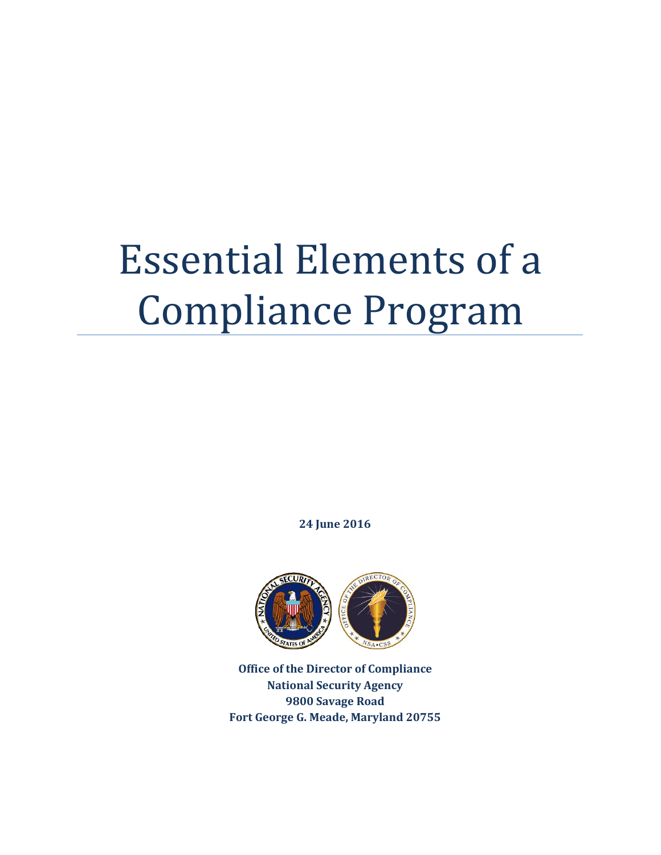# Essential Elements of a Compliance Program

**24 June 2016**



**Office of the Director of Compliance National Security Agency 9800 Savage Road Fort George G. Meade, Maryland 20755**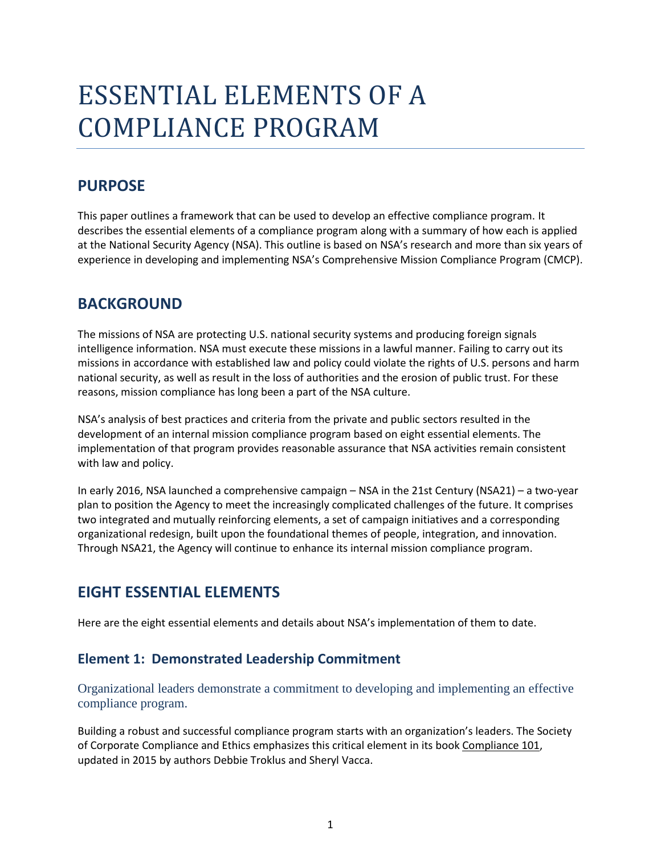# ESSENTIAL ELEMENTS OF A COMPLIANCE PROGRAM

# **PURPOSE**

This paper outlines a framework that can be used to develop an effective compliance program. It describes the essential elements of a compliance program along with a summary of how each is applied at the National Security Agency (NSA). This outline is based on NSA's research and more than six years of experience in developing and implementing NSA's Comprehensive Mission Compliance Program (CMCP).

# **BACKGROUND**

The missions of NSA are protecting U.S. national security systems and producing foreign signals intelligence information. NSA must execute these missions in a lawful manner. Failing to carry out its missions in accordance with established law and policy could violate the rights of U.S. persons and harm national security, as well as result in the loss of authorities and the erosion of public trust. For these reasons, mission compliance has long been a part of the NSA culture.

NSA's analysis of best practices and criteria from the private and public sectors resulted in the development of an internal mission compliance program based on eight essential elements. The implementation of that program provides reasonable assurance that NSA activities remain consistent with law and policy.

In early 2016, NSA launched a comprehensive campaign – NSA in the 21st Century (NSA21) – a two-year plan to position the Agency to meet the increasingly complicated challenges of the future. It comprises two integrated and mutually reinforcing elements, a set of campaign initiatives and a corresponding organizational redesign, built upon the foundational themes of people, integration, and innovation. Through NSA21, the Agency will continue to enhance its internal mission compliance program.

# **EIGHT ESSENTIAL ELEMENTS**

Here are the eight essential elements and details about NSA's implementation of them to date.

#### **Element 1: Demonstrated Leadership Commitment**

Organizational leaders demonstrate a commitment to developing and implementing an effective compliance program.

Building a robust and successful compliance program starts with an organization's leaders. The Society of Corporate Compliance and Ethics emphasizes this critical element in its book Compliance 101, updated in 2015 by authors Debbie Troklus and Sheryl Vacca.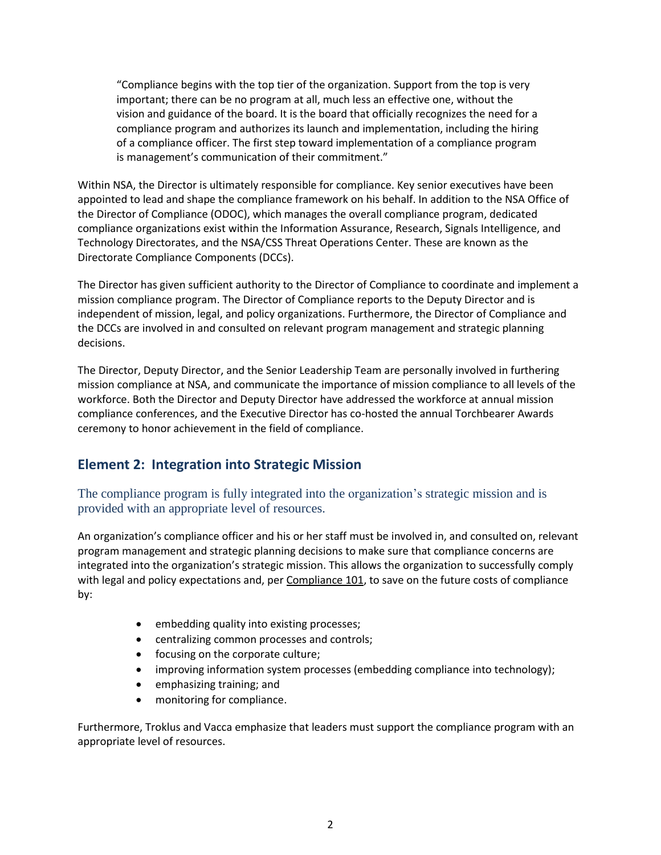"Compliance begins with the top tier of the organization. Support from the top is very important; there can be no program at all, much less an effective one, without the vision and guidance of the board. It is the board that officially recognizes the need for a compliance program and authorizes its launch and implementation, including the hiring of a compliance officer. The first step toward implementation of a compliance program is management's communication of their commitment."

Within NSA, the Director is ultimately responsible for compliance. Key senior executives have been appointed to lead and shape the compliance framework on his behalf. In addition to the NSA Office of the Director of Compliance (ODOC), which manages the overall compliance program, dedicated compliance organizations exist within the Information Assurance, Research, Signals Intelligence, and Technology Directorates, and the NSA/CSS Threat Operations Center. These are known as the Directorate Compliance Components (DCCs).

The Director has given sufficient authority to the Director of Compliance to coordinate and implement a mission compliance program. The Director of Compliance reports to the Deputy Director and is independent of mission, legal, and policy organizations. Furthermore, the Director of Compliance and the DCCs are involved in and consulted on relevant program management and strategic planning decisions.

The Director, Deputy Director, and the Senior Leadership Team are personally involved in furthering mission compliance at NSA, and communicate the importance of mission compliance to all levels of the workforce. Both the Director and Deputy Director have addressed the workforce at annual mission compliance conferences, and the Executive Director has co-hosted the annual Torchbearer Awards ceremony to honor achievement in the field of compliance.

#### **Element 2: Integration into Strategic Mission**

The compliance program is fully integrated into the organization's strategic mission and is provided with an appropriate level of resources.

An organization's compliance officer and his or her staff must be involved in, and consulted on, relevant program management and strategic planning decisions to make sure that compliance concerns are integrated into the organization's strategic mission. This allows the organization to successfully comply with legal and policy expectations and, per Compliance 101, to save on the future costs of compliance by:

- embedding quality into existing processes;
- **•** centralizing common processes and controls;
- focusing on the corporate culture;
- improving information system processes (embedding compliance into technology);
- emphasizing training; and
- monitoring for compliance.

Furthermore, Troklus and Vacca emphasize that leaders must support the compliance program with an appropriate level of resources.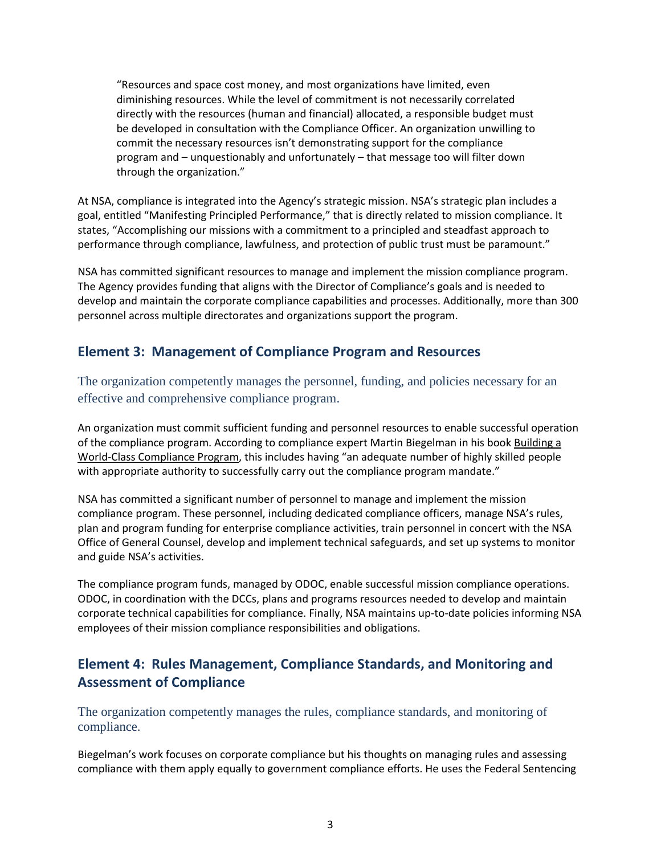"Resources and space cost money, and most organizations have limited, even diminishing resources. While the level of commitment is not necessarily correlated directly with the resources (human and financial) allocated, a responsible budget must be developed in consultation with the Compliance Officer. An organization unwilling to commit the necessary resources isn't demonstrating support for the compliance program and – unquestionably and unfortunately – that message too will filter down through the organization."

At NSA, compliance is integrated into the Agency's strategic mission. NSA's strategic plan includes a goal, entitled "Manifesting Principled Performance," that is directly related to mission compliance. It states, "Accomplishing our missions with a commitment to a principled and steadfast approach to performance through compliance, lawfulness, and protection of public trust must be paramount."

NSA has committed significant resources to manage and implement the mission compliance program. The Agency provides funding that aligns with the Director of Compliance's goals and is needed to develop and maintain the corporate compliance capabilities and processes. Additionally, more than 300 personnel across multiple directorates and organizations support the program.

#### **Element 3: Management of Compliance Program and Resources**

The organization competently manages the personnel, funding, and policies necessary for an effective and comprehensive compliance program.

An organization must commit sufficient funding and personnel resources to enable successful operation of the compliance program. According to compliance expert Martin Biegelman in his book Building a World-Class Compliance Program, this includes having "an adequate number of highly skilled people with appropriate authority to successfully carry out the compliance program mandate."

NSA has committed a significant number of personnel to manage and implement the mission compliance program. These personnel, including dedicated compliance officers, manage NSA's rules, plan and program funding for enterprise compliance activities, train personnel in concert with the NSA Office of General Counsel, develop and implement technical safeguards, and set up systems to monitor and guide NSA's activities.

The compliance program funds, managed by ODOC, enable successful mission compliance operations. ODOC, in coordination with the DCCs, plans and programs resources needed to develop and maintain corporate technical capabilities for compliance. Finally, NSA maintains up-to-date policies informing NSA employees of their mission compliance responsibilities and obligations.

#### **Element 4: Rules Management, Compliance Standards, and Monitoring and Assessment of Compliance**

The organization competently manages the rules, compliance standards, and monitoring of compliance.

Biegelman's work focuses on corporate compliance but his thoughts on managing rules and assessing compliance with them apply equally to government compliance efforts. He uses the Federal Sentencing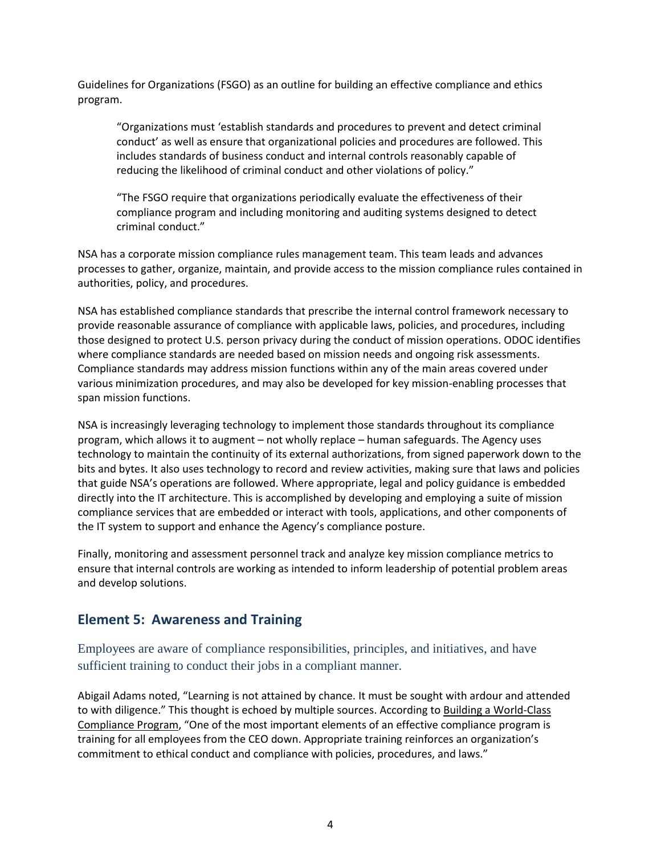Guidelines for Organizations (FSGO) as an outline for building an effective compliance and ethics program.

"Organizations must 'establish standards and procedures to prevent and detect criminal conduct' as well as ensure that organizational policies and procedures are followed. This includes standards of business conduct and internal controls reasonably capable of reducing the likelihood of criminal conduct and other violations of policy."

"The FSGO require that organizations periodically evaluate the effectiveness of their compliance program and including monitoring and auditing systems designed to detect criminal conduct."

NSA has a corporate mission compliance rules management team. This team leads and advances processes to gather, organize, maintain, and provide access to the mission compliance rules contained in authorities, policy, and procedures.

NSA has established compliance standards that prescribe the internal control framework necessary to provide reasonable assurance of compliance with applicable laws, policies, and procedures, including those designed to protect U.S. person privacy during the conduct of mission operations. ODOC identifies where compliance standards are needed based on mission needs and ongoing risk assessments. Compliance standards may address mission functions within any of the main areas covered under various minimization procedures, and may also be developed for key mission-enabling processes that span mission functions.

NSA is increasingly leveraging technology to implement those standards throughout its compliance program, which allows it to augment – not wholly replace – human safeguards. The Agency uses technology to maintain the continuity of its external authorizations, from signed paperwork down to the bits and bytes. It also uses technology to record and review activities, making sure that laws and policies that guide NSA's operations are followed. Where appropriate, legal and policy guidance is embedded directly into the IT architecture. This is accomplished by developing and employing a suite of mission compliance services that are embedded or interact with tools, applications, and other components of the IT system to support and enhance the Agency's compliance posture.

Finally, monitoring and assessment personnel track and analyze key mission compliance metrics to ensure that internal controls are working as intended to inform leadership of potential problem areas and develop solutions.

#### **Element 5: Awareness and Training**

Employees are aware of compliance responsibilities, principles, and initiatives, and have sufficient training to conduct their jobs in a compliant manner.

Abigail Adams noted, "Learning is not attained by chance. It must be sought with ardour and attended to with diligence." This thought is echoed by multiple sources. According to Building a World-Class Compliance Program, "One of the most important elements of an effective compliance program is training for all employees from the CEO down. Appropriate training reinforces an organization's commitment to ethical conduct and compliance with policies, procedures, and laws."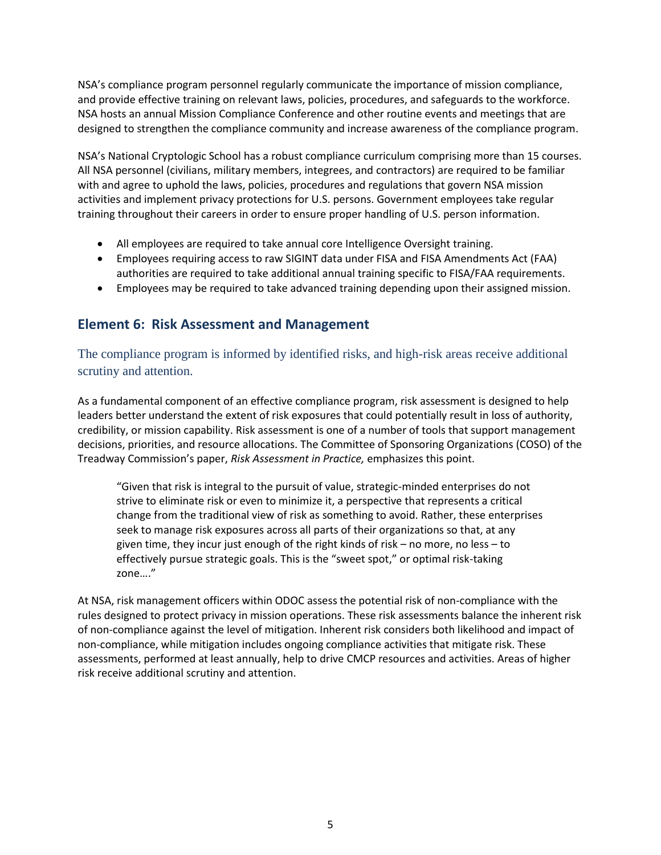NSA's compliance program personnel regularly communicate the importance of mission compliance, and provide effective training on relevant laws, policies, procedures, and safeguards to the workforce. NSA hosts an annual Mission Compliance Conference and other routine events and meetings that are designed to strengthen the compliance community and increase awareness of the compliance program.

NSA's National Cryptologic School has a robust compliance curriculum comprising more than 15 courses. All NSA personnel (civilians, military members, integrees, and contractors) are required to be familiar with and agree to uphold the laws, policies, procedures and regulations that govern NSA mission activities and implement privacy protections for U.S. persons. Government employees take regular training throughout their careers in order to ensure proper handling of U.S. person information.

- All employees are required to take annual core Intelligence Oversight training.
- Employees requiring access to raw SIGINT data under FISA and FISA Amendments Act (FAA) authorities are required to take additional annual training specific to FISA/FAA requirements.
- Employees may be required to take advanced training depending upon their assigned mission.

#### **Element 6: Risk Assessment and Management**

The compliance program is informed by identified risks, and high-risk areas receive additional scrutiny and attention.

As a fundamental component of an effective compliance program, risk assessment is designed to help leaders better understand the extent of risk exposures that could potentially result in loss of authority, credibility, or mission capability. Risk assessment is one of a number of tools that support management decisions, priorities, and resource allocations. The Committee of Sponsoring Organizations (COSO) of the Treadway Commission's paper, *Risk Assessment in Practice,* emphasizes this point.

"Given that risk is integral to the pursuit of value, strategic-minded enterprises do not strive to eliminate risk or even to minimize it, a perspective that represents a critical change from the traditional view of risk as something to avoid. Rather, these enterprises seek to manage risk exposures across all parts of their organizations so that, at any given time, they incur just enough of the right kinds of risk – no more, no less – to effectively pursue strategic goals. This is the "sweet spot," or optimal risk-taking zone…."

At NSA, risk management officers within ODOC assess the potential risk of non-compliance with the rules designed to protect privacy in mission operations. These risk assessments balance the inherent risk of non-compliance against the level of mitigation. Inherent risk considers both likelihood and impact of non-compliance, while mitigation includes ongoing compliance activities that mitigate risk. These assessments, performed at least annually, help to drive CMCP resources and activities. Areas of higher risk receive additional scrutiny and attention.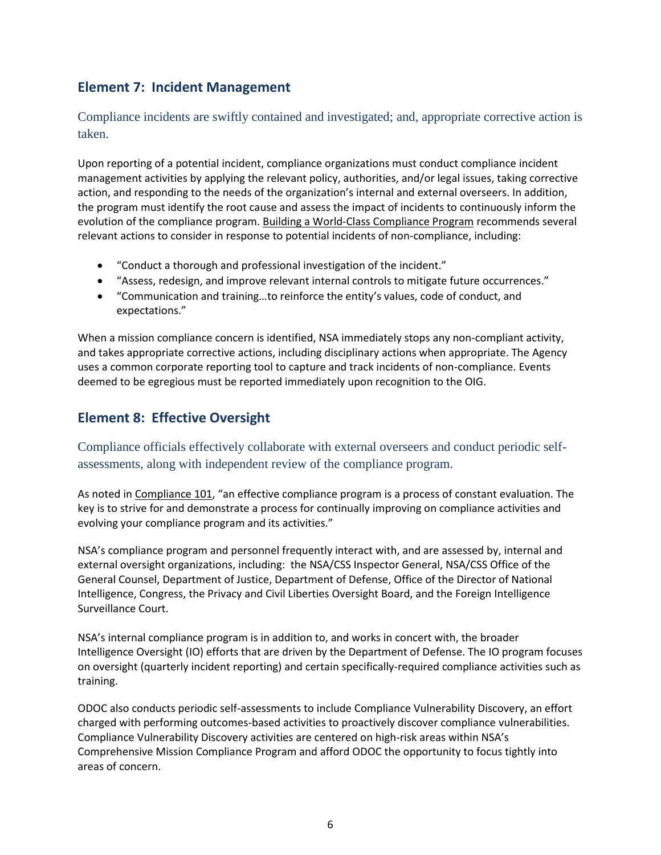#### **Element 7: Incident Management**

Compliance incidents are swiftly contained and investigated; and, appropriate corrective action is taken.

Upon reporting of a potential incident, compliance organizations must conduct compliance incident management activities by applying the relevant policy, authorities, and/or legal issues, taking corrective action, and responding to the needs of the organization's internal and external overseers. In addition, the program must identify the root cause and assess the impact of incidents to continuously inform the evolution of the compliance program. Building a World-Class Compliance Program recommends several relevant actions to consider in response to potential incidents of non-compliance, including:

- "Conduct a thorough and professional investigation of the incident."
- "Assess, redesign, and improve relevant internal controls to mitigate future occurrences."
- "Communication and training…to reinforce the entity's values, code of conduct, and expectations."

When a mission compliance concern is identified, NSA immediately stops any non-compliant activity, and takes appropriate corrective actions, including disciplinary actions when appropriate. The Agency uses a common corporate reporting tool to capture and track incidents of non-compliance. Events deemed to be egregious must be reported immediately upon recognition to the OIG.

#### **Element 8: Effective Oversight**

Compliance officials effectively collaborate with external overseers and conduct periodic selfassessments, along with independent review of the compliance program.

As noted in Compliance 101, "an effective compliance program is a process of constant evaluation. The key is to strive for and demonstrate a process for continually improving on compliance activities and evolving your compliance program and its activities."

NSA's compliance program and personnel frequently interact with, and are assessed by, internal and external oversight organizations, including: the NSA/CSS Inspector General, NSA/CSS Office of the General Counsel, Department of Justice, Department of Defense, Office of the Director of National Intelligence, Congress, the Privacy and Civil Liberties Oversight Board, and the Foreign Intelligence Surveillance Court.

NSA's internal compliance program is in addition to, and works in concert with, the broader Intelligence Oversight (IO) efforts that are driven by the Department of Defense. The IO program focuses on oversight (quarterly incident reporting) and certain specifically-required compliance activities such as training.

ODOC also conducts periodic self-assessments to include Compliance Vulnerability Discovery, an effort charged with performing outcomes-based activities to proactively discover compliance vulnerabilities. Compliance Vulnerability Discovery activities are centered on high-risk areas within NSA's Comprehensive Mission Compliance Program and afford ODOC the opportunity to focus tightly into areas of concern.